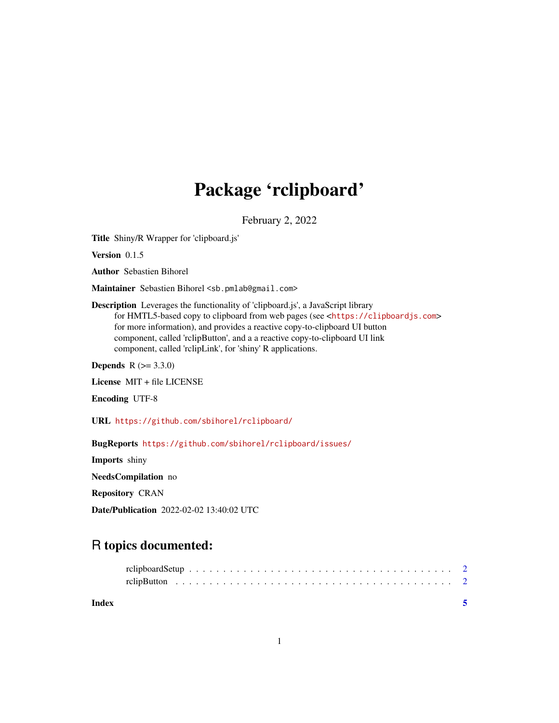# Package 'rclipboard'

February 2, 2022

<span id="page-0-0"></span>Title Shiny/R Wrapper for 'clipboard.js'

Version 0.1.5

Author Sebastien Bihorel

Maintainer Sebastien Bihorel <sb.pmlab@gmail.com>

Description Leverages the functionality of 'clipboard.js', a JavaScript library for HMTL5-based copy to clipboard from web pages (see <<https://clipboardjs.com>> for more information), and provides a reactive copy-to-clipboard UI button component, called 'rclipButton', and a a reactive copy-to-clipboard UI link component, called 'rclipLink', for 'shiny' R applications.

**Depends**  $R (= 3.3.0)$ 

License MIT + file LICENSE

Encoding UTF-8

URL <https://github.com/sbihorel/rclipboard/>

BugReports <https://github.com/sbihorel/rclipboard/issues/>

Imports shiny

NeedsCompilation no

Repository CRAN

Date/Publication 2022-02-02 13:40:02 UTC

## R topics documented:

| Index |  |
|-------|--|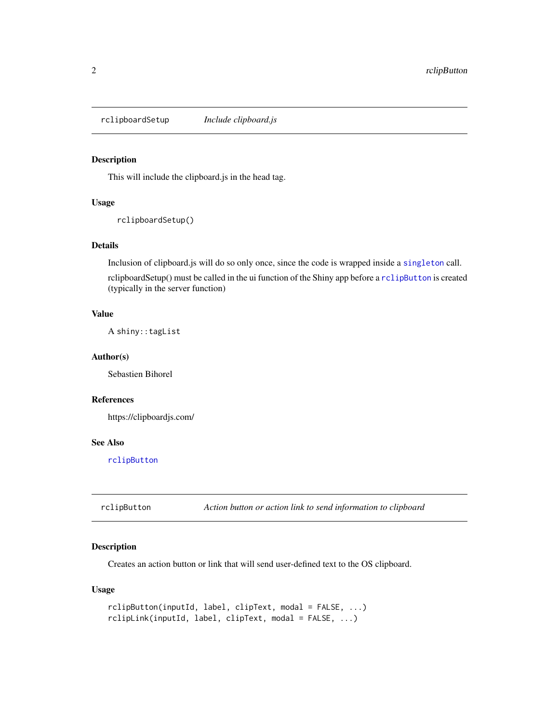<span id="page-1-2"></span><span id="page-1-0"></span>rclipboardSetup *Include clipboard.js*

#### Description

This will include the clipboard.js in the head tag.

#### Usage

rclipboardSetup()

#### Details

Inclusion of clipboard.js will do so only once, since the code is wrapped inside a [singleton](#page-0-0) call.

rclipboardSetup() must be called in the ui function of the Shiny app before a [rclipButton](#page-1-1) is created (typically in the server function)

#### Value

A shiny::tagList

#### Author(s)

Sebastien Bihorel

#### References

https://clipboardjs.com/

#### See Also

[rclipButton](#page-1-1)

<span id="page-1-1"></span>rclipButton *Action button or action link to send information to clipboard*

#### Description

Creates an action button or link that will send user-defined text to the OS clipboard.

#### Usage

```
rclipButton(inputId, label, clipText, modal = FALSE, ...)
rclipLink(inputId, label, clipText, modal = FALSE, ...)
```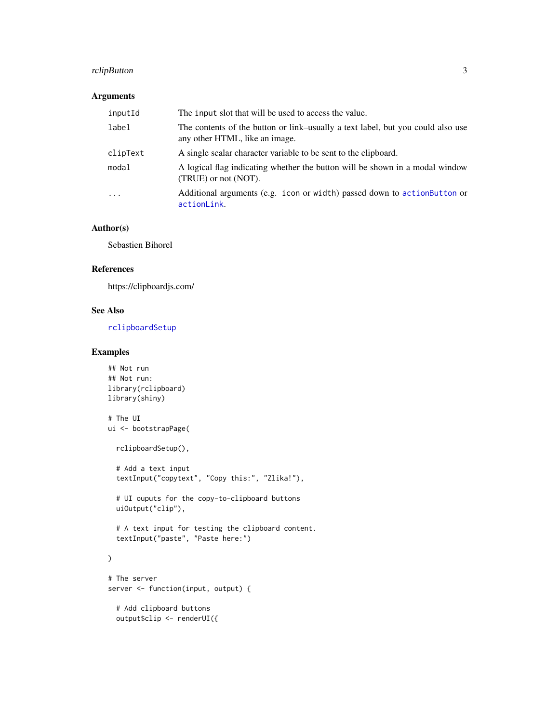#### <span id="page-2-0"></span>rclipButton 3

#### Arguments

| inputId  | The input slot that will be used to access the value.                                                             |
|----------|-------------------------------------------------------------------------------------------------------------------|
| label    | The contents of the button or link-usually a text label, but you could also use<br>any other HTML, like an image. |
| clipText | A single scalar character variable to be sent to the clipboard.                                                   |
| modal    | A logical flag indicating whether the button will be shown in a modal window<br>(TRUE) or not (NOT).              |
| $\cdot$  | Additional arguments (e.g. icon or width) passed down to action Button or<br>actionLink.                          |

#### Author(s)

Sebastien Bihorel

#### References

https://clipboardjs.com/

#### See Also

[rclipboardSetup](#page-1-2)

#### Examples

```
## Not run
## Not run:
library(rclipboard)
library(shiny)
```

```
# The UI
ui <- bootstrapPage(
  rclipboardSetup(),
```
# Add a text input textInput("copytext", "Copy this:", "Zlika!"),

# UI ouputs for the copy-to-clipboard buttons uiOutput("clip"),

# A text input for testing the clipboard content. textInput("paste", "Paste here:")

### $\overline{\phantom{a}}$

```
# The server
server <- function(input, output) {
```
# Add clipboard buttons output\$clip <- renderUI({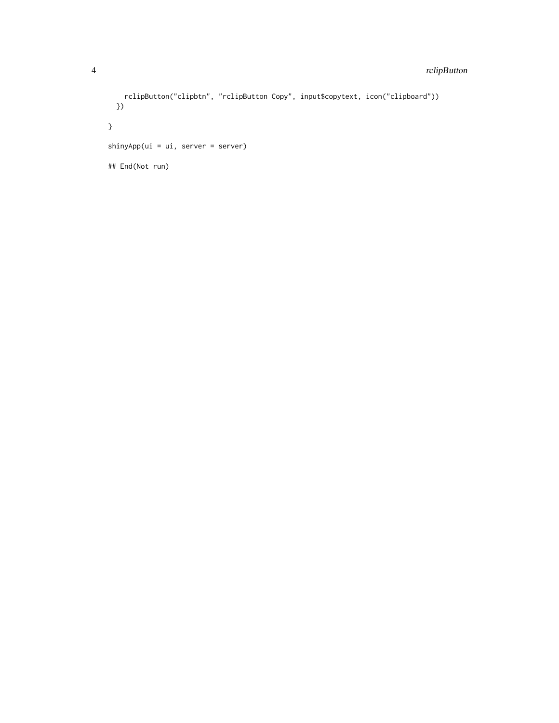```
rclipButton("clipbtn", "rclipButton Copy", input$copytext, icon("clipboard"))
 })
}
shinyApp(ui = ui, server = server)
## End(Not run)
```